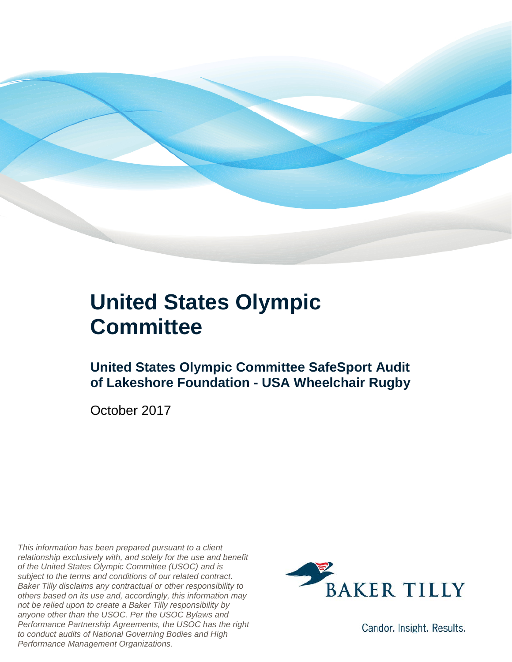

### **United States Olympic Committee**

### **United States Olympic Committee SafeSport Audit of Lakeshore Foundation - USA Wheelchair Rugby**

October 2017

*This information has been prepared pursuant to a client relationship exclusively with, and solely for the use and benefit of the United States Olympic Committee (USOC) and is subject to the terms and conditions of our related contract. Baker Tilly disclaims any contractual or other responsibility to others based on its use and, accordingly, this information may not be relied upon to create a Baker Tilly responsibility by anyone other than the USOC. Per the USOC Bylaws and Performance Partnership Agreements, the USOC has the right to conduct audits of National Governing Bodies and High Performance Management Organizations.*



Candor. Insight. Results.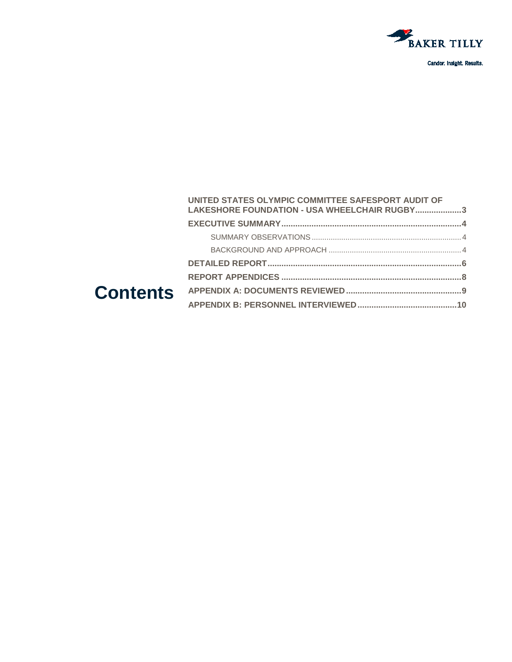

Candor. Insight. Results.

#### **Contents [UNITED STATES OLYMPIC COMMITTEE SAFESPORT AUDIT OF](#page-2-0)  LAKESHORE FOUNDATION - [USA WHEELCHAIR RUGBY....................3](#page-2-0) [EXECUTIVE SUMMARY..............................................................................4](#page-3-0)** SUMMARY OBSERVATIONS [.......................................................................4](#page-3-1) BACKGROUND AND APPROACH [...............................................................4](#page-3-2) **[DETAILED REPORT....................................................................................6](#page-5-0) REPORT APPENDICES [..............................................................................8](#page-7-0) [APPENDIX A: DOCUMENTS REVIEWED..................................................9](#page-8-0) [APPENDIX B: PERSONNEL INTERVIEWED...........................................10](#page-9-0)**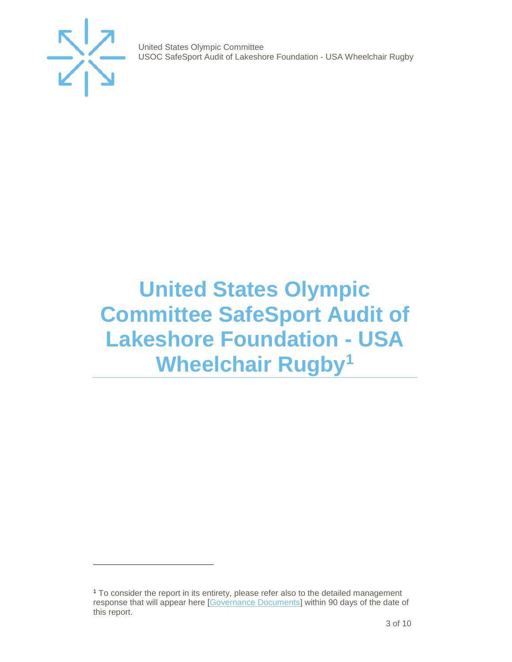

j

United States Olympic Committee USOC SafeSport Audit of Lakeshore Foundation - USA Wheelchair Rugby

## <span id="page-2-0"></span>**United States Olympic Committee SafeSport Audit of Lakeshore Foundation - USA Wheelchair Rugby[1](#page-2-1)**

<span id="page-2-1"></span><sup>1</sup> To consider the report in its entirety, please refer also to the detailed management response that will appear here [\[Governance Documents\]](https://www.teamusa.org/Footer/Legal/Governance-Documents) within 90 days of the date of this report.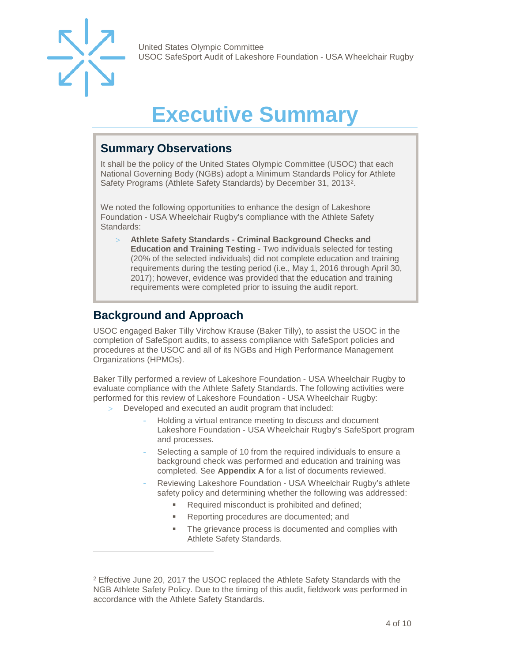

j

United States Olympic Committee USOC SafeSport Audit of Lakeshore Foundation - USA Wheelchair Rugby

# **Executive Summary**

### <span id="page-3-1"></span><span id="page-3-0"></span>**Summary Observations**

It shall be the policy of the United States Olympic Committee (USOC) that each National Governing Body (NGBs) adopt a Minimum Standards Policy for Athlete Safety Programs (Athlete Safety Standards) by December 31, 2013[2](#page-3-3).

We noted the following opportunities to enhance the design of Lakeshore Foundation - USA Wheelchair Rugby's compliance with the Athlete Safety Standards:

> **Athlete Safety Standards - Criminal Background Checks and Education and Training Testing** - Two individuals selected for testing (20% of the selected individuals) did not complete education and training requirements during the testing period (i.e., May 1, 2016 through April 30, 2017); however, evidence was provided that the education and training requirements were completed prior to issuing the audit report.

### <span id="page-3-2"></span>**Background and Approach**

USOC engaged Baker Tilly Virchow Krause (Baker Tilly), to assist the USOC in the completion of SafeSport audits, to assess compliance with SafeSport policies and procedures at the USOC and all of its NGBs and High Performance Management Organizations (HPMOs).

Baker Tilly performed a review of Lakeshore Foundation - USA Wheelchair Rugby to evaluate compliance with the Athlete Safety Standards. The following activities were performed for this review of Lakeshore Foundation - USA Wheelchair Rugby:

- Developed and executed an audit program that included:
	- Holding a virtual entrance meeting to discuss and document Lakeshore Foundation - USA Wheelchair Rugby's SafeSport program and processes.
	- Selecting a sample of 10 from the required individuals to ensure a background check was performed and education and training was completed. See **Appendix A** for a list of documents reviewed.
	- Reviewing Lakeshore Foundation USA Wheelchair Rugby's athlete safety policy and determining whether the following was addressed:
		- Required misconduct is prohibited and defined;
		- **Reporting procedures are documented; and**
		- The grievance process is documented and complies with Athlete Safety Standards.

<span id="page-3-3"></span><sup>&</sup>lt;sup>2</sup> Effective June 20, 2017 the USOC replaced the Athlete Safety Standards with the NGB Athlete Safety Policy. Due to the timing of this audit, fieldwork was performed in accordance with the Athlete Safety Standards.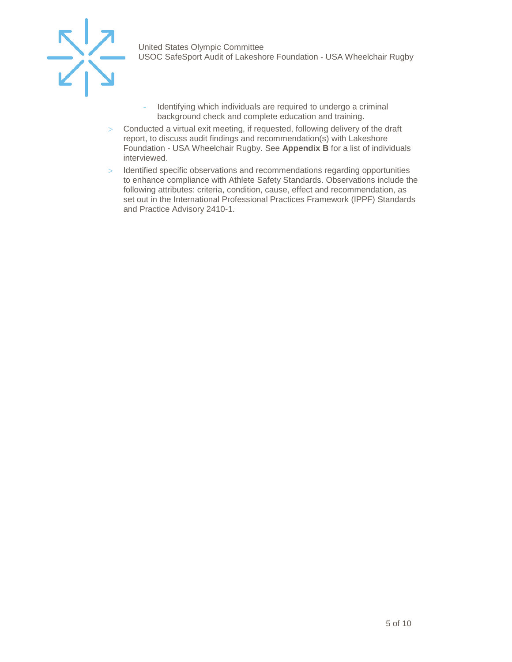

- Identifying which individuals are required to undergo a criminal background check and complete education and training.
- > Conducted a virtual exit meeting, if requested, following delivery of the draft report, to discuss audit findings and recommendation(s) with Lakeshore Foundation - USA Wheelchair Rugby. See **Appendix B** for a list of individuals interviewed.
- > Identified specific observations and recommendations regarding opportunities to enhance compliance with Athlete Safety Standards. Observations include the following attributes: criteria, condition, cause, effect and recommendation, as set out in the International Professional Practices Framework (IPPF) Standards and Practice Advisory 2410-1.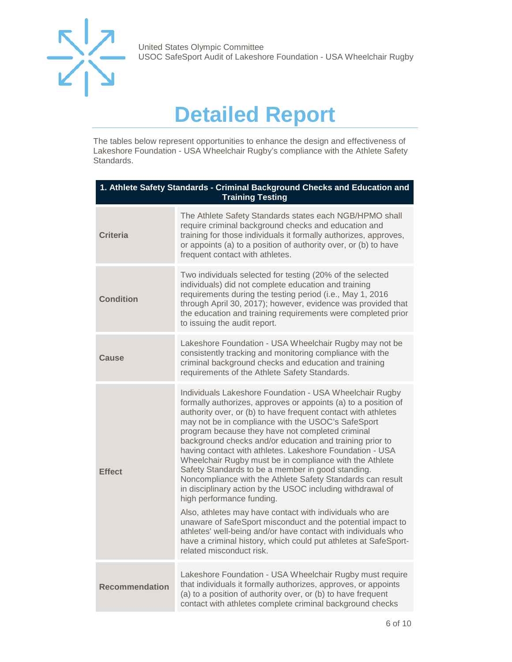

United States Olympic Committee USOC SafeSport Audit of Lakeshore Foundation - USA Wheelchair Rugby

## **Detailed Report**

<span id="page-5-0"></span>The tables below represent opportunities to enhance the design and effectiveness of Lakeshore Foundation - USA Wheelchair Rugby's compliance with the Athlete Safety Standards.

| 1. Athlete Safety Standards - Criminal Background Checks and Education and<br><b>Training Testing</b> |                                                                                                                                                                                                                                                                                                                                                                                                                                                                                                                                                                                                                                                                                                                                                                                                                                                                                                                                                                                                  |
|-------------------------------------------------------------------------------------------------------|--------------------------------------------------------------------------------------------------------------------------------------------------------------------------------------------------------------------------------------------------------------------------------------------------------------------------------------------------------------------------------------------------------------------------------------------------------------------------------------------------------------------------------------------------------------------------------------------------------------------------------------------------------------------------------------------------------------------------------------------------------------------------------------------------------------------------------------------------------------------------------------------------------------------------------------------------------------------------------------------------|
| <b>Criteria</b>                                                                                       | The Athlete Safety Standards states each NGB/HPMO shall<br>require criminal background checks and education and<br>training for those individuals it formally authorizes, approves,<br>or appoints (a) to a position of authority over, or (b) to have<br>frequent contact with athletes.                                                                                                                                                                                                                                                                                                                                                                                                                                                                                                                                                                                                                                                                                                        |
| <b>Condition</b>                                                                                      | Two individuals selected for testing (20% of the selected<br>individuals) did not complete education and training<br>requirements during the testing period (i.e., May 1, 2016<br>through April 30, 2017); however, evidence was provided that<br>the education and training requirements were completed prior<br>to issuing the audit report.                                                                                                                                                                                                                                                                                                                                                                                                                                                                                                                                                                                                                                                   |
| Cause                                                                                                 | Lakeshore Foundation - USA Wheelchair Rugby may not be<br>consistently tracking and monitoring compliance with the<br>criminal background checks and education and training<br>requirements of the Athlete Safety Standards.                                                                                                                                                                                                                                                                                                                                                                                                                                                                                                                                                                                                                                                                                                                                                                     |
| <b>Effect</b>                                                                                         | Individuals Lakeshore Foundation - USA Wheelchair Rugby<br>formally authorizes, approves or appoints (a) to a position of<br>authority over, or (b) to have frequent contact with athletes<br>may not be in compliance with the USOC's SafeSport<br>program because they have not completed criminal<br>background checks and/or education and training prior to<br>having contact with athletes. Lakeshore Foundation - USA<br>Wheelchair Rugby must be in compliance with the Athlete<br>Safety Standards to be a member in good standing.<br>Noncompliance with the Athlete Safety Standards can result<br>in disciplinary action by the USOC including withdrawal of<br>high performance funding.<br>Also, athletes may have contact with individuals who are<br>unaware of SafeSport misconduct and the potential impact to<br>athletes' well-being and/or have contact with individuals who<br>have a criminal history, which could put athletes at SafeSport-<br>related misconduct risk. |
| <b>Recommendation</b>                                                                                 | Lakeshore Foundation - USA Wheelchair Rugby must require<br>that individuals it formally authorizes, approves, or appoints<br>(a) to a position of authority over, or (b) to have frequent<br>contact with athletes complete criminal background checks                                                                                                                                                                                                                                                                                                                                                                                                                                                                                                                                                                                                                                                                                                                                          |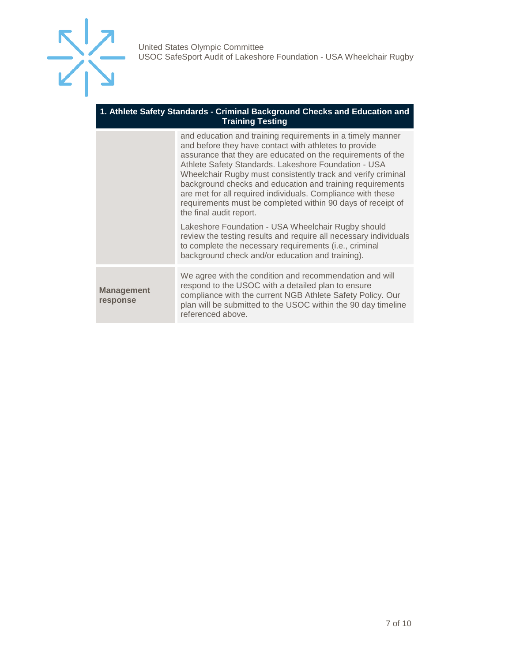

#### **1. Athlete Safety Standards - Criminal Background Checks and Education and Training Testing**

|                               | and education and training requirements in a timely manner<br>and before they have contact with athletes to provide<br>assurance that they are educated on the requirements of the<br>Athlete Safety Standards. Lakeshore Foundation - USA<br>Wheelchair Rugby must consistently track and verify criminal<br>background checks and education and training requirements<br>are met for all required individuals. Compliance with these<br>requirements must be completed within 90 days of receipt of<br>the final audit report.<br>Lakeshore Foundation - USA Wheelchair Rugby should |
|-------------------------------|----------------------------------------------------------------------------------------------------------------------------------------------------------------------------------------------------------------------------------------------------------------------------------------------------------------------------------------------------------------------------------------------------------------------------------------------------------------------------------------------------------------------------------------------------------------------------------------|
|                               | review the testing results and require all necessary individuals<br>to complete the necessary requirements (i.e., criminal<br>background check and/or education and training).                                                                                                                                                                                                                                                                                                                                                                                                         |
| <b>Management</b><br>response | We agree with the condition and recommendation and will<br>respond to the USOC with a detailed plan to ensure<br>compliance with the current NGB Athlete Safety Policy. Our<br>plan will be submitted to the USOC within the 90 day timeline<br>referenced above.                                                                                                                                                                                                                                                                                                                      |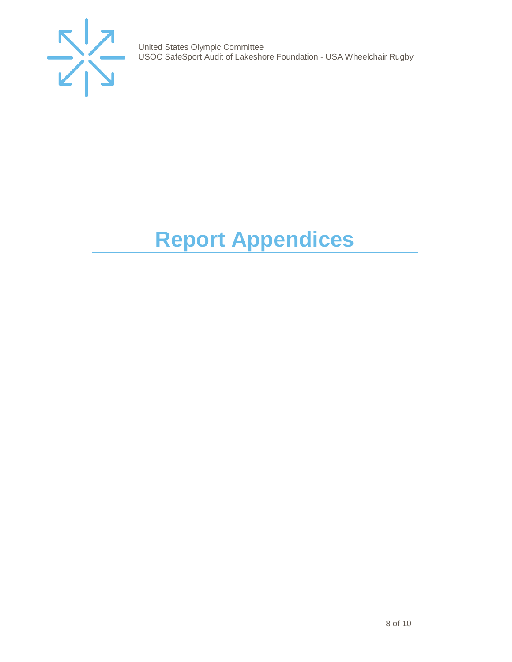

United States Olympic Committee USOC SafeSport Audit of Lakeshore Foundation - USA Wheelchair Rugby

# <span id="page-7-0"></span>**Report Appendices**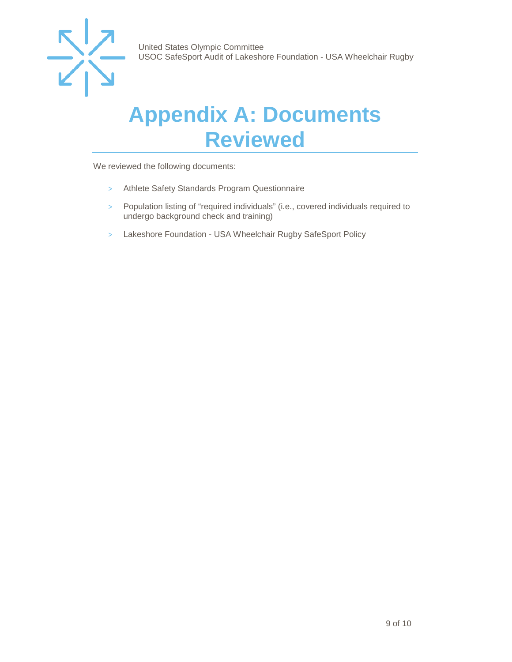

### <span id="page-8-0"></span>**Appendix A: Documents Reviewed**

We reviewed the following documents:

- > Athlete Safety Standards Program Questionnaire
- > Population listing of "required individuals" (i.e., covered individuals required to undergo background check and training)
- > Lakeshore Foundation USA Wheelchair Rugby SafeSport Policy